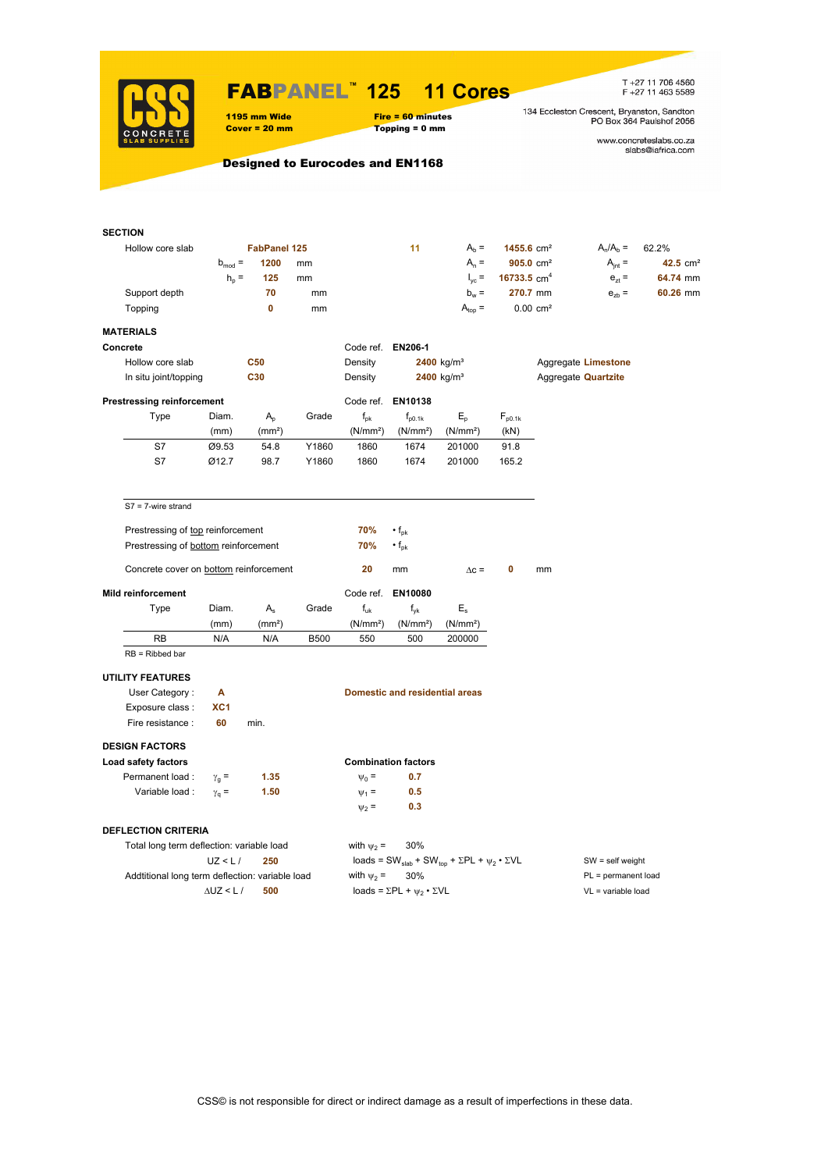

### FABPANEL**™ 125 11 Cores**

T +27 11 706 4560<br>F +27 11 463 5589

134 Eccleston Crescent, Bryanston, Sandton<br>PO Box 364 Paulshof 2056

1195 mm Wide Fire = 60 minutes<br>
Cover = 20 mm Topping = 0 mm  $Topping = 0$  mm

www.concreteslabs.co.za<br>slabs@iafrica.com

### Designed to Eurocodes and EN1168

| <b>SECTION</b>                                  |                 |                     |             |                      |                                       |                                                                                         |                       |    |                            |            |
|-------------------------------------------------|-----------------|---------------------|-------------|----------------------|---------------------------------------|-----------------------------------------------------------------------------------------|-----------------------|----|----------------------------|------------|
| Hollow core slab                                |                 | <b>FabPanel 125</b> |             |                      | 11                                    | $Ab$ =                                                                                  | 1455.6 $cm2$          |    | $A_n/A_b =$                | 62.2%      |
|                                                 | $b_{mod}$ =     | 1200                | mm          |                      |                                       | $A_n =$                                                                                 | $905.0 \text{ cm}^2$  |    | $A_{int} =$                | 42.5 $cm2$ |
|                                                 | $h_{\rm p}$ =   | 125                 | mm          |                      |                                       | $I_{\text{vc}} =$                                                                       | 16733.5 $cm4$         |    | $e_{71} =$                 | 64.74 mm   |
| Support depth                                   |                 | 70                  | mm          |                      |                                       | $b_w =$                                                                                 | 270.7 mm              |    | $e_{zb}$ =                 | 60.26 mm   |
| Topping                                         |                 | 0                   | mm          |                      |                                       | $A_{top} =$                                                                             | $0.00 \, \text{cm}^2$ |    |                            |            |
| <b>MATERIALS</b>                                |                 |                     |             |                      |                                       |                                                                                         |                       |    |                            |            |
| Concrete                                        |                 |                     |             | Code ref. EN206-1    |                                       |                                                                                         |                       |    |                            |            |
| Hollow core slab                                |                 | <b>C50</b>          |             | Density              |                                       | $2400$ kg/m <sup>3</sup>                                                                |                       |    | Aggregate Limestone        |            |
| In situ joint/topping                           |                 | C30                 |             | Density              |                                       | 2400 kg/m <sup>3</sup>                                                                  |                       |    | Aggregate <b>Quartzite</b> |            |
|                                                 |                 |                     |             |                      |                                       |                                                                                         |                       |    |                            |            |
| <b>Prestressing reinforcement</b>               |                 |                     |             |                      | Code ref. EN10138                     |                                                                                         |                       |    |                            |            |
| Type                                            | Diam.           | $A_{p}$             | Grade       | $f_{\rm pk}$         | $f_{\text{p0.1k}}$                    | $E_{\rm p}$                                                                             | $F_{p0.1k}$           |    |                            |            |
|                                                 | (mm)            | (mm <sup>2</sup> )  |             | (N/mm <sup>2</sup> ) | (N/mm <sup>2</sup> )                  | (N/mm <sup>2</sup> )                                                                    | (kN)                  |    |                            |            |
| S7                                              | Ø9.53           | 54.8                | Y1860       | 1860                 | 1674                                  | 201000                                                                                  | 91.8                  |    |                            |            |
| S7                                              | Ø12.7           | 98.7                | Y1860       | 1860                 | 1674                                  | 201000                                                                                  | 165.2                 |    |                            |            |
| $S7 = 7$ -wire strand                           |                 |                     |             |                      |                                       |                                                                                         |                       |    |                            |            |
|                                                 |                 |                     |             |                      |                                       |                                                                                         |                       |    |                            |            |
| Prestressing of top reinforcement               |                 |                     |             | 70%                  | $\cdot$ f <sub>pk</sub>               |                                                                                         |                       |    |                            |            |
| Prestressing of bottom reinforcement            |                 |                     |             | 70%                  | $\cdot$ f <sub>pk</sub>               |                                                                                         |                       |    |                            |            |
| Concrete cover on bottom reinforcement          |                 |                     |             | 20                   | mm                                    | $\Delta c =$                                                                            | 0                     | mm |                            |            |
| <b>Mild reinforcement</b>                       |                 |                     |             |                      | Code ref. EN10080                     |                                                                                         |                       |    |                            |            |
| Type                                            | Diam.           | $A_{s}$             | Grade       | $f_{uk}$             | $f_{yk}$                              | $E_{\rm s}$                                                                             |                       |    |                            |            |
|                                                 | (mm)            | (mm <sup>2</sup> )  |             | (N/mm <sup>2</sup> ) | (N/mm <sup>2</sup> )                  | (N/mm <sup>2</sup> )                                                                    |                       |    |                            |            |
| RB                                              | N/A             | N/A                 | <b>B500</b> | 550                  | 500                                   | 200000                                                                                  |                       |    |                            |            |
| $RB = Ribbed bar$                               |                 |                     |             |                      |                                       |                                                                                         |                       |    |                            |            |
| <b>UTILITY FEATURES</b>                         |                 |                     |             |                      |                                       |                                                                                         |                       |    |                            |            |
| User Category:                                  | Α               |                     |             |                      | <b>Domestic and residential areas</b> |                                                                                         |                       |    |                            |            |
| Exposure class :                                | XC <sub>1</sub> |                     |             |                      |                                       |                                                                                         |                       |    |                            |            |
| Fire resistance :                               | 60              | min.                |             |                      |                                       |                                                                                         |                       |    |                            |            |
| <b>DESIGN FACTORS</b>                           |                 |                     |             |                      |                                       |                                                                                         |                       |    |                            |            |
| Load safety factors                             |                 |                     |             |                      | <b>Combination factors</b>            |                                                                                         |                       |    |                            |            |
| Permanent load:                                 | $\gamma_{q}$ =  | 1.35                |             | $\Psi_0 =$           | 0.7                                   |                                                                                         |                       |    |                            |            |
| Variable load :                                 | $\gamma_{q} =$  | 1.50                |             | $\Psi_1 =$           | 0.5                                   |                                                                                         |                       |    |                            |            |
|                                                 |                 |                     |             | $\Psi_2$ =           | 0.3                                   |                                                                                         |                       |    |                            |            |
|                                                 |                 |                     |             |                      |                                       |                                                                                         |                       |    |                            |            |
| <b>DEFLECTION CRITERIA</b>                      |                 |                     |             |                      |                                       |                                                                                         |                       |    |                            |            |
| Total long term deflection: variable load       |                 |                     |             | with $\psi_2$ =      | 30%                                   |                                                                                         |                       |    |                            |            |
|                                                 | UZ < L/         | 250                 |             |                      |                                       | loads = SW <sub>slab</sub> + SW <sub>top</sub> + $\Sigma$ PL + $\psi_2 \cdot \Sigma$ VL |                       |    | $SW = self weight$         |            |
| Addtitional long term deflection: variable load |                 |                     |             | with $\psi_2$ =      | 30%                                   |                                                                                         |                       |    | PL = permanent load        |            |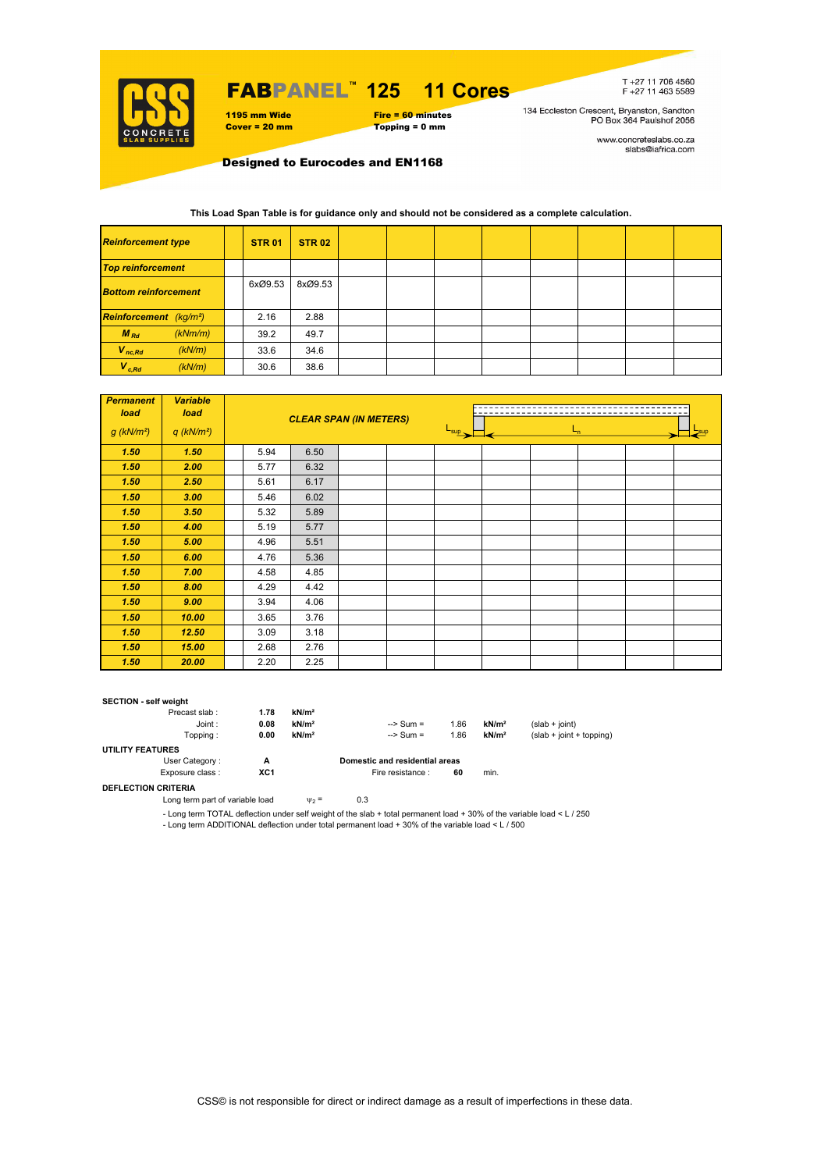

## FABPANEL**™ 125 11 Cores**

### 1195 mm Wide Fire = 60 minutes<br>
Cover = 20 mm Topping = 0 mm  $Topping = 0$  mm

T+27 11 706 4560<br>F+27 11 463 5589

134 Eccleston Crescent, Bryanston, Sandton<br>PO Box 364 Paulshof 2056

www.concreteslabs.co.za<br>slabs@iafrica.com

Designed to Eurocodes and EN1168

**This Load Span Table is for guidance only and should not be considered as a complete calculation.**

| <b>Reinforcement type</b>          |         | <b>STR 01</b> | <b>STR 02</b> |  |  |  |  |
|------------------------------------|---------|---------------|---------------|--|--|--|--|
| <b>Top reinforcement</b>           |         |               |               |  |  |  |  |
| <b>Bottom reinforcement</b>        |         | 6xØ9.53       | 8xØ9.53       |  |  |  |  |
| Reinforcement (kg/m <sup>2</sup> ) |         | 2.16          | 2.88          |  |  |  |  |
| $M_{Rd}$                           | (kNm/m) | 39.2          | 49.7          |  |  |  |  |
| $V_{nc,Rd}$                        | (kN/m)  | 33.6          | 34.6          |  |  |  |  |
| $V_{c, Rd}$                        | (kN/m)  | 30.6          | 38.6          |  |  |  |  |

| <b>Permanent</b><br>load | <b>Variable</b><br>load  |      |      | <b>CLEAR SPAN (IN METERS)</b> |                             |  |       |  |  |         |  |
|--------------------------|--------------------------|------|------|-------------------------------|-----------------------------|--|-------|--|--|---------|--|
| $g$ (kN/m <sup>2</sup> ) | $q$ (kN/m <sup>2</sup> ) |      |      |                               | $\frac{L_{\sup}}{L_{\sup}}$ |  | $L_n$ |  |  | $-$ sup |  |
| 1.50                     | 1.50                     | 5.94 | 6.50 |                               |                             |  |       |  |  |         |  |
| 1.50                     | 2.00                     | 5.77 | 6.32 |                               |                             |  |       |  |  |         |  |
| 1.50                     | 2.50                     | 5.61 | 6.17 |                               |                             |  |       |  |  |         |  |
| 1.50                     | 3.00                     | 5.46 | 6.02 |                               |                             |  |       |  |  |         |  |
| 1.50                     | 3.50                     | 5.32 | 5.89 |                               |                             |  |       |  |  |         |  |
| 1.50                     | 4.00                     | 5.19 | 5.77 |                               |                             |  |       |  |  |         |  |
| 1.50                     | 5.00                     | 4.96 | 5.51 |                               |                             |  |       |  |  |         |  |
| 1.50                     | 6.00                     | 4.76 | 5.36 |                               |                             |  |       |  |  |         |  |
| 1.50                     | 7.00                     | 4.58 | 4.85 |                               |                             |  |       |  |  |         |  |
| 1.50                     | 8.00                     | 4.29 | 4.42 |                               |                             |  |       |  |  |         |  |
| 1.50                     | 9.00                     | 3.94 | 4.06 |                               |                             |  |       |  |  |         |  |
| 1.50                     | 10.00                    | 3.65 | 3.76 |                               |                             |  |       |  |  |         |  |
| 1.50                     | 12.50                    | 3.09 | 3.18 |                               |                             |  |       |  |  |         |  |
| 1.50                     | 15.00                    | 2.68 | 2.76 |                               |                             |  |       |  |  |         |  |
| 1.50                     | 20.00                    | 2.20 | 2.25 |                               |                             |  |       |  |  |         |  |

#### **SECTION - self weight**

| Precast slab:       | 1.78            | kN/m <sup>2</sup> |                                |      |                   |                            |
|---------------------|-----------------|-------------------|--------------------------------|------|-------------------|----------------------------|
| Joint:              | 0.08            | kN/m <sup>2</sup> | $\Rightarrow$ Sum =            | 1.86 | kN/m <sup>2</sup> | $(slab + ioint)$           |
| Topping:            | 0.00            | kN/m <sup>2</sup> | $\Rightarrow$ Sum =            | 1.86 | kN/m <sup>2</sup> | $(slab + joint + topping)$ |
| UTILITY FEATURES    |                 |                   |                                |      |                   |                            |
| User Category:      | A               |                   | Domestic and residential areas |      |                   |                            |
| Exposure class:     | XC <sub>1</sub> |                   | Fire resistance :              | 60   | min.              |                            |
| DEELECTION CRITERIA |                 |                   |                                |      |                   |                            |

**DEFLECTION CRITERIA**

Long term part of variable load  $v_2 = 0.3$ 

- Long term TOTAL deflection under self weight of the slab + total permanent load + 30% of the variable load < L / 250

- Long term ADDITIONAL deflection under total permanent load + 30% of the variable load < L / 500